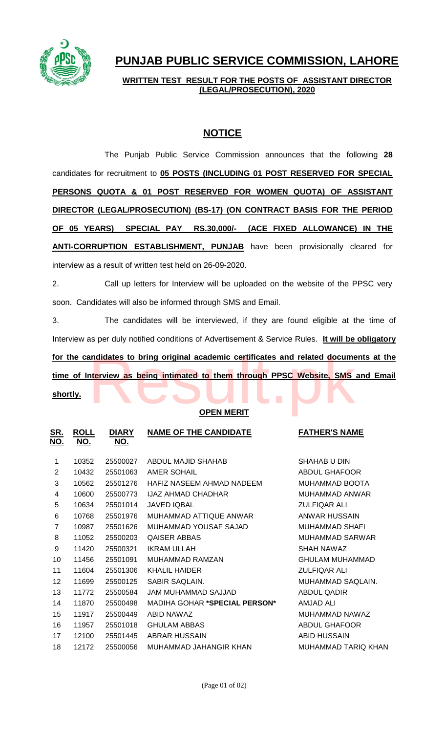

# **PUNJAB PUBLIC SERVICE COMMISSION, LAHORE**

**WRITTEN TEST RESULT FOR THE POSTS OF ASSISTANT DIRECTOR (LEGAL/PROSECUTION), 2020**

# **NOTICE**

The Punjab Public Service Commission announces that the following **28** candidates for recruitment to **05 POSTS (INCLUDING 01 POST RESERVED FOR SPECIAL PERSONS QUOTA & 01 POST RESERVED FOR WOMEN QUOTA) OF ASSISTANT DIRECTOR (LEGAL/PROSECUTION) (BS-17) (ON CONTRACT BASIS FOR THE PERIOD OF 05 YEARS) SPECIAL PAY RS.30,000/- (ACE FIXED ALLOWANCE) IN THE ANTI-CORRUPTION ESTABLISHMENT, PUNJAB** have been provisionally cleared for interview as a result of written test held on 26-09-2020.

2. Call up letters for Interview will be uploaded on the website of the PPSC very soon. Candidates will also be informed through SMS and Email.

3. The candidates will be interviewed, if they are found eligible at the time of Interview as per duly notified conditions of Advertisement & Service Rules. **It will be obligatory**  For the candidates to bring original academic certificates and related documents at the time of Interview as being intimated to them through PPSC Website, SMS and Email shortly. **time of Interview as being intimated to them through PPSC Website, SMS and Email shortly.**

#### **OPEN MERIT**

| <u>SR.</u><br>NO. | <u>ROLL</u><br><u>NO.</u> | <u>DIARY</u><br><u>NO.</u> | <b>NAME OF THE CANDIDATE</b>         | <b>FATHER'S NAME</b>       |
|-------------------|---------------------------|----------------------------|--------------------------------------|----------------------------|
| 1                 | 10352                     | 25500027                   | ABDUL MAJID SHAHAB                   | SHAHAB U DIN               |
| 2                 | 10432                     | 25501063                   | AMER SOHAIL                          | <b>ABDUL GHAFOOR</b>       |
| 3                 | 10562                     | 25501276                   | HAFIZ NASEEM AHMAD NADEEM            | <b>MUHAMMAD BOOTA</b>      |
| 4                 | 10600                     | 25500773                   | <b>IJAZ AHMAD CHADHAR</b>            | <b>MUHAMMAD ANWAR</b>      |
| 5                 | 10634                     | 25501014                   | <b>JAVED IQBAL</b>                   | <b>ZULFIQAR ALI</b>        |
| 6                 | 10768                     | 25501976                   | MUHAMMAD ATTIQUE ANWAR               | ANWAR HUSSAIN              |
| $\overline{7}$    | 10987                     | 25501626                   | MUHAMMAD YOUSAF SAJAD                | MUHAMMAD SHAFI             |
| 8                 | 11052                     | 25500203                   | <b>OAISER ABBAS</b>                  | MUHAMMAD SARWAR            |
| 9                 | 11420                     | 25500321                   | <b>IKRAM ULLAH</b>                   | SHAH NAWAZ                 |
| 10                | 11456                     | 25501091                   | MUHAMMAD RAMZAN                      | GHULAM MUHAMMAD            |
| 11                | 11604                     | 25501306                   | <b>KHALIL HAIDER</b>                 | <b>ZULFIQAR ALI</b>        |
| 12                | 11699                     | 25500125                   | SABIR SAQLAIN.                       | MUHAMMAD SAQLAIN.          |
| 13                | 11772                     | 25500584                   | JAM MUHAMMAD SAJJAD                  | <b>ABDUL QADIR</b>         |
| 14                | 11870                     | 25500498                   | <b>MADIHA GOHAR *SPECIAL PERSON*</b> | <b>AMJAD ALI</b>           |
| 15                | 11917                     | 25500449                   | ABID NAWAZ                           | MUHAMMAD NAWAZ             |
| 16                | 11957                     | 25501018                   | <b>GHULAM ABBAS</b>                  | <b>ABDUL GHAFOOR</b>       |
| 17                | 12100                     | 25501445                   | ABRAR HUSSAIN                        | <b>ABID HUSSAIN</b>        |
| 18                | 12172                     | 25500056                   | MUHAMMAD JAHANGIR KHAN               | <b>MUHAMMAD TARIO KHAN</b> |
|                   |                           |                            |                                      |                            |